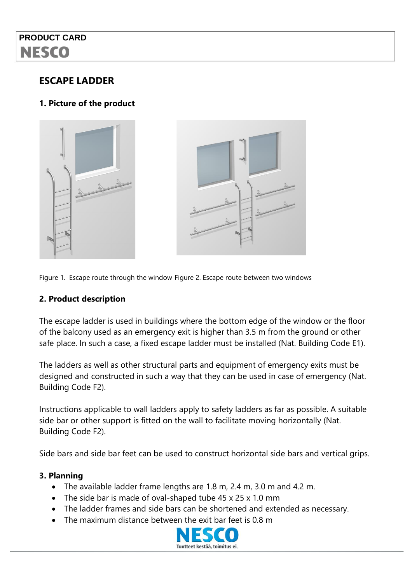## **PRODUCT CARD NESCO**

### **ESCAPE LADDER**

### **1. Picture of the product**



Figure 1. Escape route through the window Figure 2. Escape route between two windows

#### **2. Product description**

The escape ladder is used in buildings where the bottom edge of the window or the floor of the balcony used as an emergency exit is higher than 3.5 m from the ground or other safe place. In such a case, a fixed escape ladder must be installed (Nat. Building Code E1).

The ladders as well as other structural parts and equipment of emergency exits must be designed and constructed in such a way that they can be used in case of emergency (Nat. Building Code F2).

Instructions applicable to wall ladders apply to safety ladders as far as possible. A suitable side bar or other support is fitted on the wall to facilitate moving horizontally (Nat. Building Code F2).

Side bars and side bar feet can be used to construct horizontal side bars and vertical grips.

#### **3. Planning**

- The available ladder frame lengths are 1.8 m, 2.4 m, 3.0 m and 4.2 m.
- The side bar is made of oval-shaped tube 45 x 25 x 1.0 mm
- The ladder frames and side bars can be shortened and extended as necessary.
- The maximum distance between the exit bar feet is 0.8 m